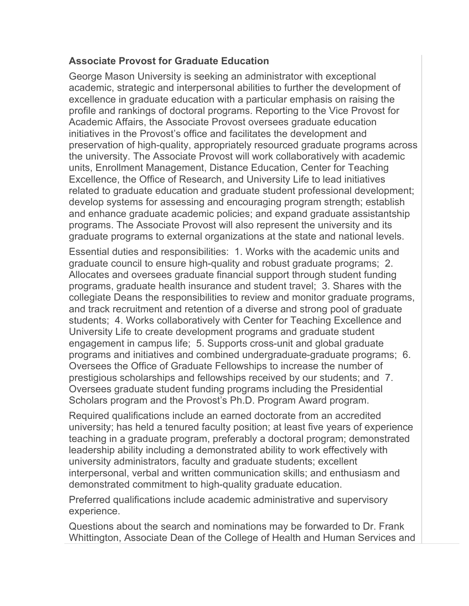## **Associate Provost for Graduate Education**

George Mason University is seeking an administrator with exceptional academic, strategic and interpersonal abilities to further the development of excellence in graduate education with a particular emphasis on raising the profile and rankings of doctoral programs. Reporting to the Vice Provost for Academic Affairs, the Associate Provost oversees graduate education initiatives in the Provost's office and facilitates the development and preservation of high-quality, appropriately resourced graduate programs across the university. The Associate Provost will work collaboratively with academic units, Enrollment Management, Distance Education, Center for Teaching Excellence, the Office of Research, and University Life to lead initiatives related to graduate education and graduate student professional development; develop systems for assessing and encouraging program strength; establish and enhance graduate academic policies; and expand graduate assistantship programs. The Associate Provost will also represent the university and its graduate programs to external organizations at the state and national levels.

Essential duties and responsibilities: 1. Works with the academic units and graduate council to ensure high-quality and robust graduate programs; 2. Allocates and oversees graduate financial support through student funding programs, graduate health insurance and student travel; 3. Shares with the collegiate Deans the responsibilities to review and monitor graduate programs, and track recruitment and retention of a diverse and strong pool of graduate students; 4. Works collaboratively with Center for Teaching Excellence and University Life to create development programs and graduate student engagement in campus life; 5. Supports cross-unit and global graduate programs and initiatives and combined undergraduate-graduate programs; 6. Oversees the Office of Graduate Fellowships to increase the number of prestigious scholarships and fellowships received by our students; and 7. Oversees graduate student funding programs including the Presidential Scholars program and the Provost's Ph.D. Program Award program.

Required qualifications include an earned doctorate from an accredited university; has held a tenured faculty position; at least five years of experience teaching in a graduate program, preferably a doctoral program; demonstrated leadership ability including a demonstrated ability to work effectively with university administrators, faculty and graduate students; excellent interpersonal, verbal and written communication skills; and enthusiasm and demonstrated commitment to high-quality graduate education.

Preferred qualifications include academic administrative and supervisory experience.

Questions about the search and nominations may be forwarded to Dr. Frank Whittington, Associate Dean of the College of Health and Human Services and